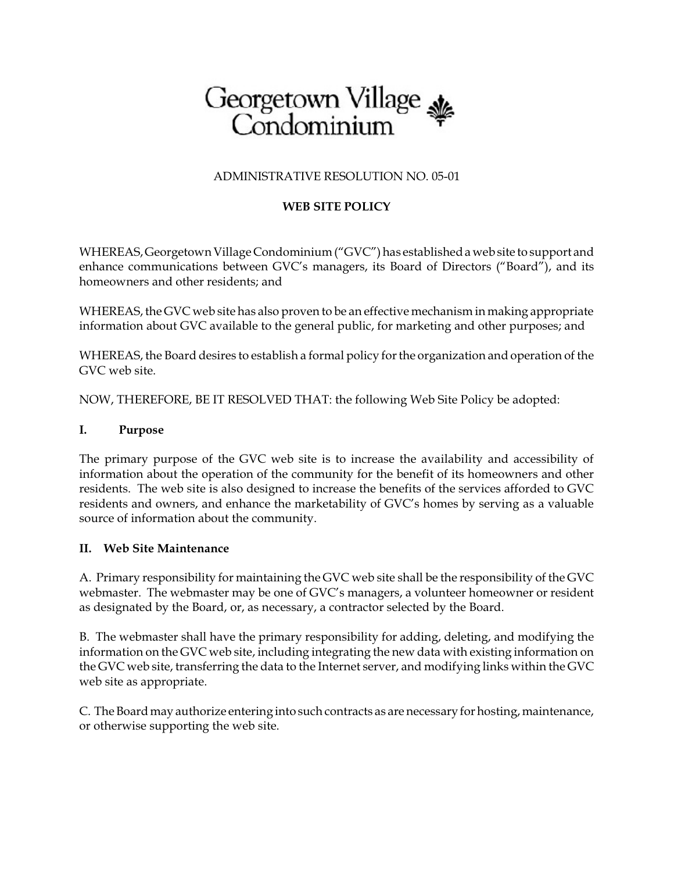# Georgetown Village &

### ADMINISTRATIVE RESOLUTION NO. 05-01

## **WEB SITE POLICY**

WHEREAS, Georgetown Village Condominium ("GVC") has established a web site to support and enhance communications between GVC's managers, its Board of Directors ("Board"), and its homeowners and other residents; and

WHEREAS, the GVC web site has also proven to be an effective mechanism in making appropriate information about GVC available to the general public, for marketing and other purposes; and

WHEREAS, the Board desires to establish a formal policy for the organization and operation of the GVC web site.

NOW, THEREFORE, BE IT RESOLVED THAT: the following Web Site Policy be adopted:

#### **I. Purpose**

The primary purpose of the GVC web site is to increase the availability and accessibility of information about the operation of the community for the benefit of its homeowners and other residents. The web site is also designed to increase the benefits of the services afforded to GVC residents and owners, and enhance the marketability of GVC's homes by serving as a valuable source of information about the community.

#### **II. Web Site Maintenance**

A. Primary responsibility for maintaining the GVC web site shall be the responsibility of the GVC webmaster. The webmaster may be one of GVC's managers, a volunteer homeowner or resident as designated by the Board, or, as necessary, a contractor selected by the Board.

B. The webmaster shall have the primary responsibility for adding, deleting, and modifying the information on the GVC web site, including integrating the new data with existing information on the GVC web site, transferring the data to the Internet server, and modifying links within the GVC web site as appropriate.

C. The Board may authorize entering into such contracts as are necessary for hosting, maintenance, or otherwise supporting the web site.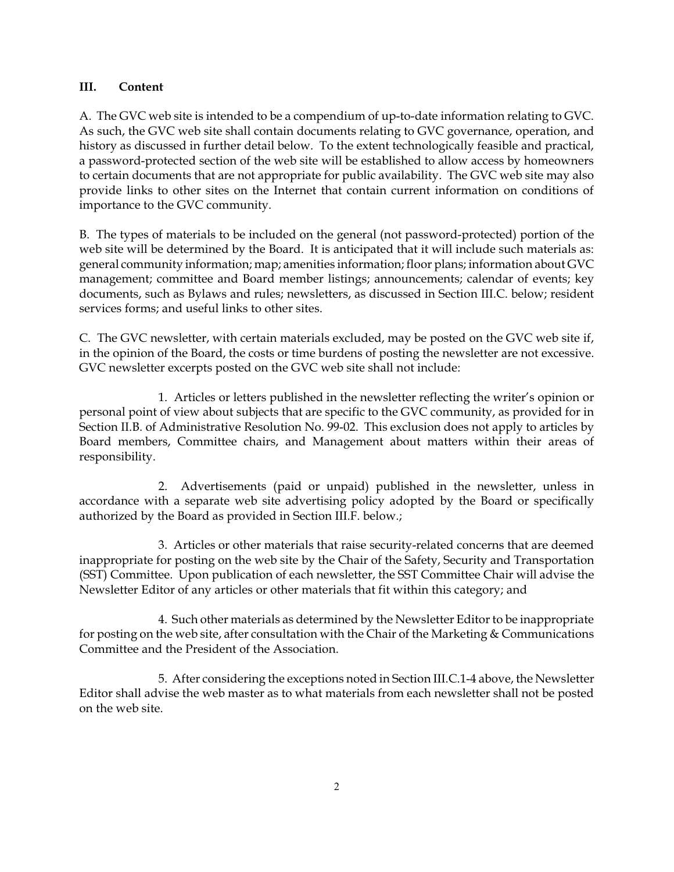#### **III. Content**

A. The GVC web site is intended to be a compendium of up-to-date information relating to GVC. As such, the GVC web site shall contain documents relating to GVC governance, operation, and history as discussed in further detail below. To the extent technologically feasible and practical, a password-protected section of the web site will be established to allow access by homeowners to certain documents that are not appropriate for public availability. The GVC web site may also provide links to other sites on the Internet that contain current information on conditions of importance to the GVC community.

B. The types of materials to be included on the general (not password-protected) portion of the web site will be determined by the Board. It is anticipated that it will include such materials as: general community information; map; amenities information; floor plans; information about GVC management; committee and Board member listings; announcements; calendar of events; key documents, such as Bylaws and rules; newsletters, as discussed in Section III.C. below; resident services forms; and useful links to other sites.

C. The GVC newsletter, with certain materials excluded, may be posted on the GVC web site if, in the opinion of the Board, the costs or time burdens of posting the newsletter are not excessive. GVC newsletter excerpts posted on the GVC web site shall not include:

1. Articles or letters published in the newsletter reflecting the writer's opinion or personal point of view about subjects that are specific to the GVC community, as provided for in Section II.B. of Administrative Resolution No. 99-02. This exclusion does not apply to articles by Board members, Committee chairs, and Management about matters within their areas of responsibility.

2. Advertisements (paid or unpaid) published in the newsletter, unless in accordance with a separate web site advertising policy adopted by the Board or specifically authorized by the Board as provided in Section III.F. below.;

3. Articles or other materials that raise security-related concerns that are deemed inappropriate for posting on the web site by the Chair of the Safety, Security and Transportation (SST) Committee. Upon publication of each newsletter, the SST Committee Chair will advise the Newsletter Editor of any articles or other materials that fit within this category; and

4. Such other materials as determined by the Newsletter Editor to be inappropriate for posting on the web site, after consultation with the Chair of the Marketing & Communications Committee and the President of the Association.

5. After considering the exceptions noted in Section III.C.1-4 above, the Newsletter Editor shall advise the web master as to what materials from each newsletter shall not be posted on the web site.